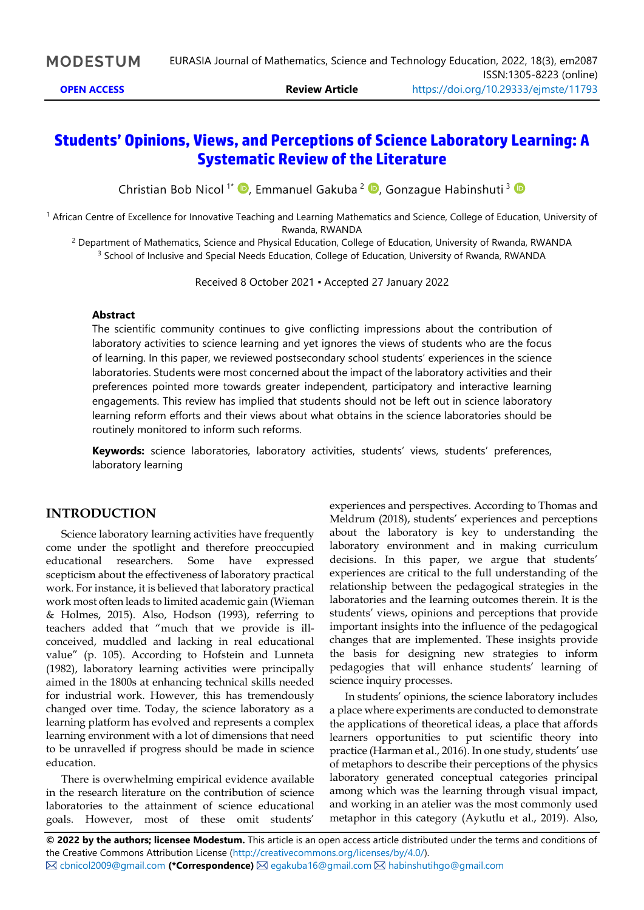# **Students' Opinions, Views, and Perceptions of Science Laboratory Learning: A Systematic Review of the Literature**

Christian Bob Nicol<sup>1\*</sup> <sup>®</sup>[,](https://orcid.org/0000-0002-6130-8565) Emmanuel Gakuba<sup>2</sup> <sup>®</sup>, Gonzague Habinshuti<sup>3</sup>

<sup>1</sup> African Centre of Excellence for Innovative Teaching and Learning Mathematics and Science, College of Education, University of Rwanda, RWANDA

<sup>2</sup> Department of Mathematics, Science and Physical Education, College of Education, University of Rwanda, RWANDA <sup>3</sup> School of Inclusive and Special Needs Education, College of Education, University of Rwanda, RWANDA

Received 8 October 2021 ▪ Accepted 27 January 2022

#### **Abstract**

The scientific community continues to give conflicting impressions about the contribution of laboratory activities to science learning and yet ignores the views of students who are the focus of learning. In this paper, we reviewed postsecondary school students' experiences in the science laboratories. Students were most concerned about the impact of the laboratory activities and their preferences pointed more towards greater independent, participatory and interactive learning engagements. This review has implied that students should not be left out in science laboratory learning reform efforts and their views about what obtains in the science laboratories should be routinely monitored to inform such reforms.

**Keywords:** science laboratories, laboratory activities, students' views, students' preferences, laboratory learning

#### **INTRODUCTION**

Science laboratory learning activities have frequently come under the spotlight and therefore preoccupied educational researchers. Some have expressed scepticism about the effectiveness of laboratory practical work. For instance, it is believed that laboratory practical work most often leads to limited academic gain (Wieman & Holmes, 2015). Also, Hodson (1993), referring to teachers added that "much that we provide is illconceived, muddled and lacking in real educational value" (p. 105). According to Hofstein and Lunneta (1982), laboratory learning activities were principally aimed in the 1800s at enhancing technical skills needed for industrial work. However, this has tremendously changed over time. Today, the science laboratory as a learning platform has evolved and represents a complex learning environment with a lot of dimensions that need to be unravelled if progress should be made in science education.

There is overwhelming empirical evidence available in the research literature on the contribution of science laboratories to the attainment of science educational goals. However, most of these omit students'

experiences and perspectives. According to Thomas and Meldrum (2018), students' experiences and perceptions about the laboratory is key to understanding the laboratory environment and in making curriculum decisions. In this paper, we argue that students' experiences are critical to the full understanding of the relationship between the pedagogical strategies in the laboratories and the learning outcomes therein. It is the students' views, opinions and perceptions that provide important insights into the influence of the pedagogical changes that are implemented. These insights provide the basis for designing new strategies to inform pedagogies that will enhance students' learning of science inquiry processes.

In students' opinions, the science laboratory includes a place where experiments are conducted to demonstrate the applications of theoretical ideas, a place that affords learners opportunities to put scientific theory into practice (Harman et al., 2016). In one study, students' use of metaphors to describe their perceptions of the physics laboratory generated conceptual categories principal among which was the learning through visual impact, and working in an atelier was the most commonly used metaphor in this category (Aykutlu et al., 2019). Also,

**© 2022 by the authors; licensee Modestum.** This article is an open access article distributed under the terms and conditions of the Creative Commons Attribution License [\(http://creativecommons.org/licenses/by/4.0/\)](http://creativecommons.org/licenses/by/4.0/). [cbnicol2009@gmail.com](mailto:cbnicol2009@gmail.com) **(\*Correspondence)** [egakuba16@gmail.com](mailto:egakuba16@gmail.com) [habinshutihgo@gmail.com](mailto:habinshutihgo@gmail.com)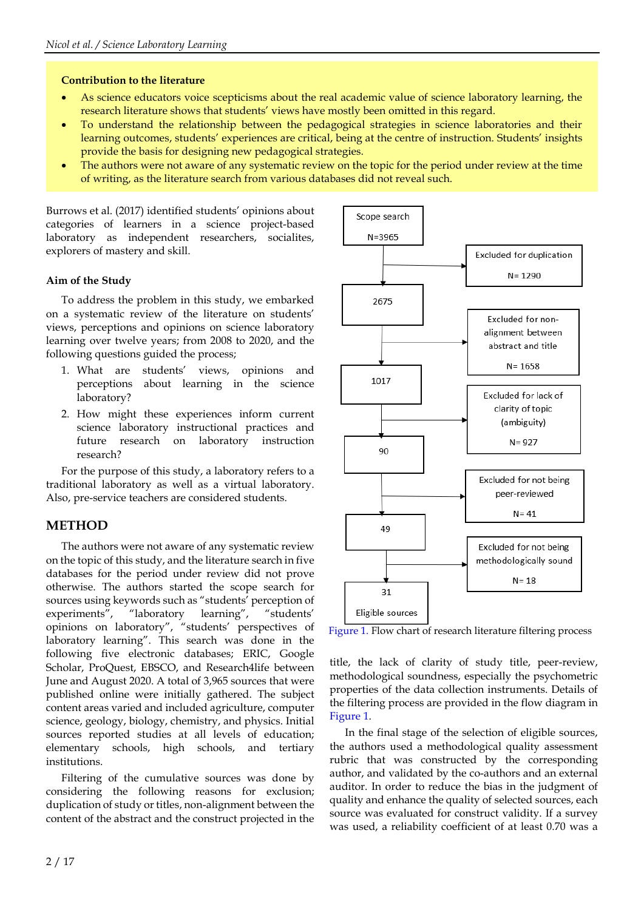#### **Contribution to the literature**

- As science educators voice scepticisms about the real academic value of science laboratory learning, the research literature shows that students' views have mostly been omitted in this regard.
- To understand the relationship between the pedagogical strategies in science laboratories and their learning outcomes, students' experiences are critical, being at the centre of instruction. Students' insights provide the basis for designing new pedagogical strategies.
- The authors were not aware of any systematic review on the topic for the period under review at the time of writing, as the literature search from various databases did not reveal such.

Burrows et al. (2017) identified students' opinions about categories of learners in a science project-based laboratory as independent researchers, socialites, explorers of mastery and skill.

#### **Aim of the Study**

To address the problem in this study, we embarked on a systematic review of the literature on students' views, perceptions and opinions on science laboratory learning over twelve years; from 2008 to 2020, and the following questions guided the process;

- 1. What are students' views, opinions and perceptions about learning in the science laboratory?
- 2. How might these experiences inform current science laboratory instructional practices and future research on laboratory instruction research?

For the purpose of this study, a laboratory refers to a traditional laboratory as well as a virtual laboratory. Also, pre-service teachers are considered students.

## **METHOD**

The authors were not aware of any systematic review on the topic of this study, and the literature search in five databases for the period under review did not prove otherwise. The authors started the scope search for sources using keywords such as "students' perception of experiments", "laboratory learning", "students' opinions on laboratory", "students' perspectives of laboratory learning". This search was done in the following five electronic databases; ERIC, Google Scholar, ProQuest, EBSCO, and Research4life between June and August 2020. A total of 3,965 sources that were published online were initially gathered. The subject content areas varied and included agriculture, computer science, geology, biology, chemistry, and physics. Initial sources reported studies at all levels of education; elementary schools, high schools, and tertiary institutions.

Filtering of the cumulative sources was done by considering the following reasons for exclusion; duplication of study or titles, non-alignment between the content of the abstract and the construct projected in the



Figure 1. Flow chart of research literature filtering process

title, the lack of clarity of study title, peer-review, methodological soundness, especially the psychometric properties of the data collection instruments. Details of the filtering process are provided in the flow diagram in Figure 1.

In the final stage of the selection of eligible sources, the authors used a methodological quality assessment rubric that was constructed by the corresponding author, and validated by the co-authors and an external auditor. In order to reduce the bias in the judgment of quality and enhance the quality of selected sources, each source was evaluated for construct validity. If a survey was used, a reliability coefficient of at least 0.70 was a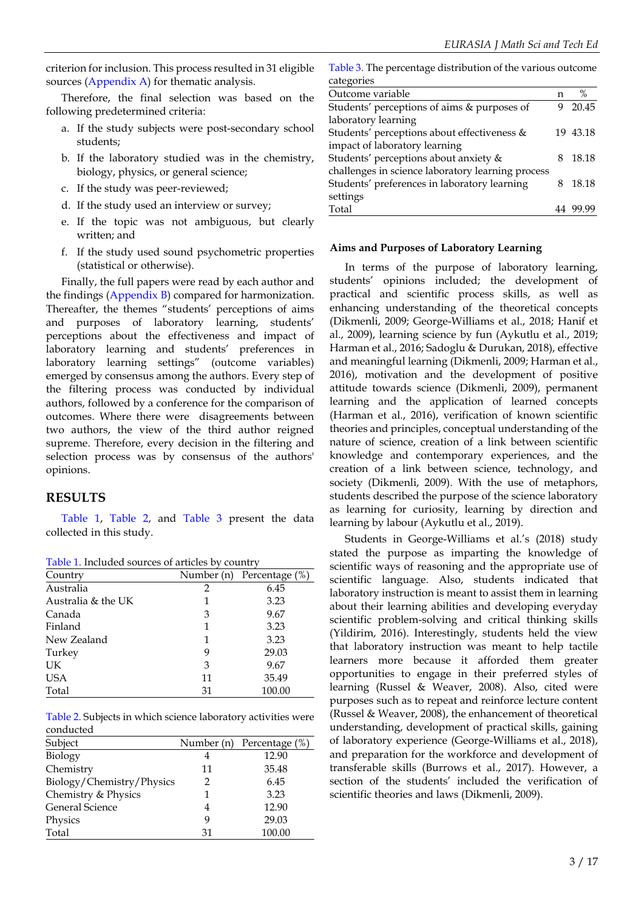criterion forinclusion. This process resulted in 31 eligible sources (Appendix A) for thematic analysis.

Therefore, the final selection was based on the following predetermined criteria:

- a. If the study subjects were post-secondary school students;
- b. If the laboratory studied was in the chemistry, biology, physics, or general science;
- c. If the study was peer-reviewed;
- d. If the study used an interview or survey;
- e. If the topic was not ambiguous, but clearly written; and
- f. If the study used sound psychometric properties (statistical or otherwise).

Finally, the full papers were read by each author and the findings (Appendix B) compared for harmonization. Thereafter, the themes "students' perceptions of aims and purposes of laboratory learning, students' perceptions about the effectiveness and impact of laboratory learning and students' preferences in laboratory learning settings" (outcome variables) emerged by consensus among the authors. Every step of the filtering process was conducted by individual authors, followed by a conference for the comparison of outcomes. Where there were disagreements between two authors, the view of the third author reigned supreme. Therefore, every decision in the filtering and selection process was by consensus of the authors' opinions.

## **RESULTS**

Table 1, Table 2, and Table 3 present the data collected in this study.

Table 1. Included sources of articles by country

| Table 1. Included sources of articles by country |            |                |  |  |  |  |  |  |
|--------------------------------------------------|------------|----------------|--|--|--|--|--|--|
| Country                                          | Number (n) | Percentage (%) |  |  |  |  |  |  |
| Australia                                        | 2          | 6.45           |  |  |  |  |  |  |
| Australia & the UK                               | 1          | 3.23           |  |  |  |  |  |  |
| Canada                                           | 3          | 9.67           |  |  |  |  |  |  |
| Finland                                          | 1          | 3.23           |  |  |  |  |  |  |
| New Zealand                                      | 1          | 3.23           |  |  |  |  |  |  |
| Turkey                                           | 9          | 29.03          |  |  |  |  |  |  |
| UK                                               | 3          | 9.67           |  |  |  |  |  |  |
| <b>USA</b>                                       | 11         | 35.49          |  |  |  |  |  |  |
| Total                                            | 31         | 100.00         |  |  |  |  |  |  |

Table 2. Subjects in which science laboratory activities were conducted

| Subject                   |    | Number (n) Percentage (%) |
|---------------------------|----|---------------------------|
| Biology                   | 4  | 12.90                     |
| Chemistry                 | 11 | 35.48                     |
| Biology/Chemistry/Physics | 2  | 6.45                      |
| Chemistry & Physics       | 1  | 3.23                      |
| <b>General Science</b>    | 4  | 12.90                     |
| Physics                   | 9  | 29.03                     |
| Total                     | 31 | 100.00                    |

Table 3. The percentage distribution of the various outcome categories

| $\alpha$ wayn $\alpha$                            |   |          |
|---------------------------------------------------|---|----------|
| Outcome variable                                  | n | $\%$     |
| Students' perceptions of aims & purposes of       | 9 | 20.45    |
| laboratory learning                               |   |          |
| Students' perceptions about effectiveness &       |   | 19 43.18 |
| impact of laboratory learning                     |   |          |
| Students' perceptions about anxiety &             | 8 | 18.18    |
| challenges in science laboratory learning process |   |          |
| Students' preferences in laboratory learning      |   | 18.18    |
| settings                                          |   |          |
| Total                                             |   |          |

#### **Aims and Purposes of Laboratory Learning**

In terms of the purpose of laboratory learning, students' opinions included; the development of practical and scientific process skills, as well as enhancing understanding of the theoretical concepts (Dikmenli, 2009; George-Williams et al., 2018; Hanif et al., 2009), learning science by fun (Aykutlu et al., 2019; Harman et al., 2016; Sadoglu & Durukan, 2018), effective and meaningful learning (Dikmenli, 2009; Harman et al., 2016), motivation and the development of positive attitude towards science (Dikmenli, 2009), permanent learning and the application of learned concepts (Harman et al., 2016), verification of known scientific theories and principles, conceptual understanding of the nature of science, creation of a link between scientific knowledge and contemporary experiences, and the creation of a link between science, technology, and society (Dikmenli, 2009). With the use of metaphors, students described the purpose of the science laboratory as learning for curiosity, learning by direction and learning by labour (Aykutlu et al., 2019).

Students in George-Williams et al.'s (2018) study stated the purpose as imparting the knowledge of scientific ways of reasoning and the appropriate use of scientific language. Also, students indicated that laboratory instruction is meant to assist them in learning about their learning abilities and developing everyday scientific problem-solving and critical thinking skills (Yildirim, 2016). Interestingly, students held the view that laboratory instruction was meant to help tactile learners more because it afforded them greater opportunities to engage in their preferred styles of learning (Russel & Weaver, 2008). Also, cited were purposes such as to repeat and reinforce lecture content (Russel & Weaver, 2008), the enhancement of theoretical understanding, development of practical skills, gaining of laboratory experience (George-Williams et al., 2018), and preparation for the workforce and development of transferable skills (Burrows et al., 2017). However, a section of the students' included the verification of scientific theories and laws (Dikmenli, 2009).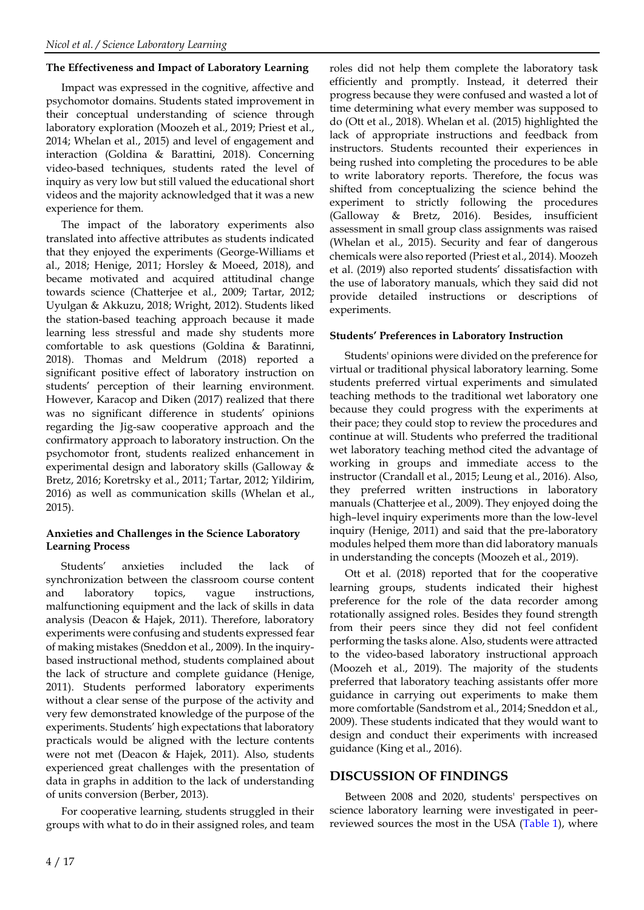#### **The Effectiveness and Impact of Laboratory Learning**

Impact was expressed in the cognitive, affective and psychomotor domains. Students stated improvement in their conceptual understanding of science through laboratory exploration (Moozeh et al., 2019; Priest et al., 2014; Whelan et al., 2015) and level of engagement and interaction (Goldina & Barattini, 2018). Concerning video-based techniques, students rated the level of inquiry as very low but still valued the educational short videos and the majority acknowledged that it was a new experience for them.

The impact of the laboratory experiments also translated into affective attributes as students indicated that they enjoyed the experiments (George-Williams et al., 2018; Henige, 2011; Horsley & Moeed, 2018), and became motivated and acquired attitudinal change towards science (Chatterjee et al., 2009; Tartar, 2012; Uyulgan & Akkuzu, 2018; Wright, 2012). Students liked the station-based teaching approach because it made learning less stressful and made shy students more comfortable to ask questions (Goldina & Baratinni, 2018). Thomas and Meldrum (2018) reported a significant positive effect of laboratory instruction on students' perception of their learning environment. However, Karacop and Diken (2017) realized that there was no significant difference in students' opinions regarding the Jig-saw cooperative approach and the confirmatory approach to laboratory instruction. On the psychomotor front, students realized enhancement in experimental design and laboratory skills (Galloway & Bretz, 2016; Koretrsky et al., 2011; Tartar, 2012; Yildirim, 2016) as well as communication skills (Whelan et al., 2015).

#### **Anxieties and Challenges in the Science Laboratory Learning Process**

Students' anxieties included the lack of synchronization between the classroom course content and laboratory topics, vague instructions, malfunctioning equipment and the lack of skills in data analysis (Deacon & Hajek, 2011). Therefore, laboratory experiments were confusing and students expressed fear of making mistakes (Sneddon et al., 2009). In the inquirybased instructional method, students complained about the lack of structure and complete guidance (Henige, 2011). Students performed laboratory experiments without a clear sense of the purpose of the activity and very few demonstrated knowledge of the purpose of the experiments. Students' high expectations that laboratory practicals would be aligned with the lecture contents were not met (Deacon & Hajek, 2011). Also, students experienced great challenges with the presentation of data in graphs in addition to the lack of understanding of units conversion (Berber, 2013).

For cooperative learning, students struggled in their groups with what to do in their assigned roles, and team roles did not help them complete the laboratory task efficiently and promptly. Instead, it deterred their progress because they were confused and wasted a lot of time determining what every member was supposed to do (Ott et al., 2018). Whelan et al. (2015) highlighted the lack of appropriate instructions and feedback from instructors. Students recounted their experiences in being rushed into completing the procedures to be able to write laboratory reports. Therefore, the focus was shifted from conceptualizing the science behind the experiment to strictly following the procedures (Galloway & Bretz, 2016). Besides, insufficient assessment in small group class assignments was raised (Whelan et al., 2015). Security and fear of dangerous chemicals were also reported (Priest et al., 2014). Moozeh et al. (2019) also reported students' dissatisfaction with the use of laboratory manuals, which they said did not provide detailed instructions or descriptions of experiments.

#### **Students' Preferences in Laboratory Instruction**

Students' opinions were divided on the preference for virtual or traditional physical laboratory learning. Some students preferred virtual experiments and simulated teaching methods to the traditional wet laboratory one because they could progress with the experiments at their pace; they could stop to review the procedures and continue at will. Students who preferred the traditional wet laboratory teaching method cited the advantage of working in groups and immediate access to the instructor (Crandall et al., 2015; Leung et al., 2016). Also, they preferred written instructions in laboratory manuals (Chatterjee et al., 2009). They enjoyed doing the high–level inquiry experiments more than the low-level inquiry (Henige, 2011) and said that the pre-laboratory modules helped them more than did laboratory manuals in understanding the concepts (Moozeh et al., 2019).

Ott et al. (2018) reported that for the cooperative learning groups, students indicated their highest preference for the role of the data recorder among rotationally assigned roles. Besides they found strength from their peers since they did not feel confident performing the tasks alone. Also, students were attracted to the video-based laboratory instructional approach (Moozeh et al., 2019). The majority of the students preferred that laboratory teaching assistants offer more guidance in carrying out experiments to make them more comfortable (Sandstrom et al., 2014; Sneddon et al., 2009). These students indicated that they would want to design and conduct their experiments with increased guidance (King et al., 2016).

## **DISCUSSION OF FINDINGS**

Between 2008 and 2020, students' perspectives on science laboratory learning were investigated in peerreviewed sources the most in the USA (Table 1), where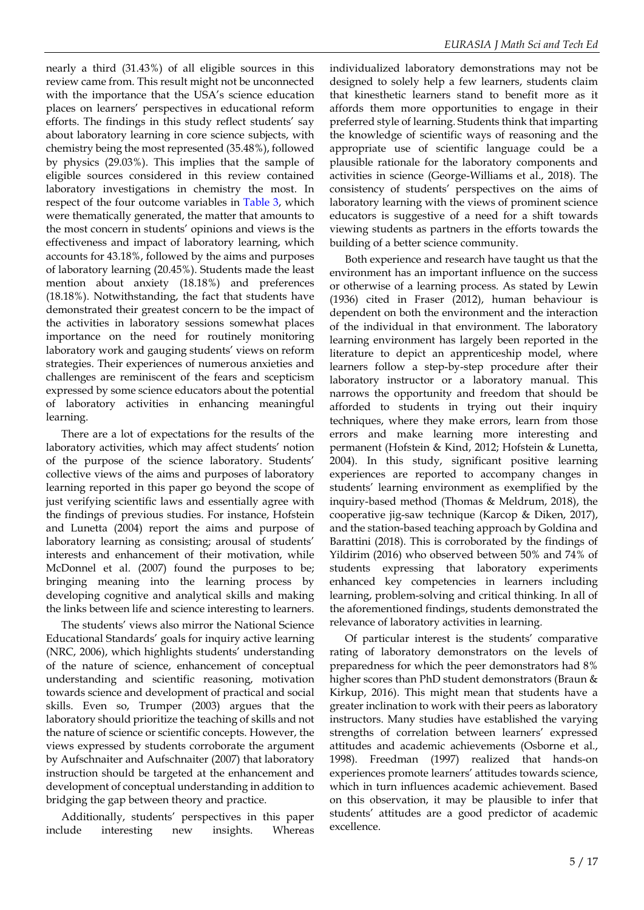nearly a third (31.43%) of all eligible sources in this review came from. This result might not be unconnected with the importance that the USA's science education places on learners' perspectives in educational reform efforts. The findings in this study reflect students' say about laboratory learning in core science subjects, with chemistry being the most represented (35.48%), followed by physics (29.03%). This implies that the sample of eligible sources considered in this review contained laboratory investigations in chemistry the most. In respect of the four outcome variables in Table 3, which were thematically generated, the matter that amounts to the most concern in students' opinions and views is the effectiveness and impact of laboratory learning, which accounts for 43.18%, followed by the aims and purposes of laboratory learning (20.45%). Students made the least mention about anxiety (18.18%) and preferences (18.18%). Notwithstanding, the fact that students have demonstrated their greatest concern to be the impact of the activities in laboratory sessions somewhat places importance on the need for routinely monitoring laboratory work and gauging students' views on reform strategies. Their experiences of numerous anxieties and challenges are reminiscent of the fears and scepticism expressed by some science educators about the potential of laboratory activities in enhancing meaningful learning.

There are a lot of expectations for the results of the laboratory activities, which may affect students' notion of the purpose of the science laboratory. Students' collective views of the aims and purposes of laboratory learning reported in this paper go beyond the scope of just verifying scientific laws and essentially agree with the findings of previous studies. For instance, Hofstein and Lunetta (2004) report the aims and purpose of laboratory learning as consisting; arousal of students' interests and enhancement of their motivation, while McDonnel et al. (2007) found the purposes to be; bringing meaning into the learning process by developing cognitive and analytical skills and making the links between life and science interesting to learners.

The students' views also mirror the National Science Educational Standards' goals for inquiry active learning (NRC, 2006), which highlights students' understanding of the nature of science, enhancement of conceptual understanding and scientific reasoning, motivation towards science and development of practical and social skills. Even so, Trumper (2003) argues that the laboratory should prioritize the teaching of skills and not the nature of science or scientific concepts. However, the views expressed by students corroborate the argument by Aufschnaiter and Aufschnaiter (2007) that laboratory instruction should be targeted at the enhancement and development of conceptual understanding in addition to bridging the gap between theory and practice.

Additionally, students' perspectives in this paper include interesting new insights. Whereas individualized laboratory demonstrations may not be designed to solely help a few learners, students claim that kinesthetic learners stand to benefit more as it affords them more opportunities to engage in their preferred style of learning. Students think that imparting the knowledge of scientific ways of reasoning and the appropriate use of scientific language could be a plausible rationale for the laboratory components and activities in science (George-Williams et al., 2018). The consistency of students' perspectives on the aims of laboratory learning with the views of prominent science educators is suggestive of a need for a shift towards viewing students as partners in the efforts towards the building of a better science community.

Both experience and research have taught us that the environment has an important influence on the success or otherwise of a learning process. As stated by Lewin (1936) cited in Fraser (2012), human behaviour is dependent on both the environment and the interaction of the individual in that environment. The laboratory learning environment has largely been reported in the literature to depict an apprenticeship model, where learners follow a step-by-step procedure after their laboratory instructor or a laboratory manual. This narrows the opportunity and freedom that should be afforded to students in trying out their inquiry techniques, where they make errors, learn from those errors and make learning more interesting and permanent (Hofstein & Kind, 2012; Hofstein & Lunetta, 2004). In this study, significant positive learning experiences are reported to accompany changes in students' learning environment as exemplified by the inquiry-based method (Thomas & Meldrum, 2018), the cooperative jig-saw technique (Karcop & Diken, 2017), and the station-based teaching approach by Goldina and Barattini (2018). This is corroborated by the findings of Yildirim (2016) who observed between 50% and 74% of students expressing that laboratory experiments enhanced key competencies in learners including learning, problem-solving and critical thinking. In all of the aforementioned findings, students demonstrated the relevance of laboratory activities in learning.

Of particular interest is the students' comparative rating of laboratory demonstrators on the levels of preparedness for which the peer demonstrators had 8% higher scores than PhD student demonstrators (Braun & Kirkup, 2016). This might mean that students have a greater inclination to work with their peers as laboratory instructors. Many studies have established the varying strengths of correlation between learners' expressed attitudes and academic achievements (Osborne et al., 1998). Freedman (1997) realized that hands-on experiences promote learners' attitudes towards science, which in turn influences academic achievement. Based on this observation, it may be plausible to infer that students' attitudes are a good predictor of academic excellence.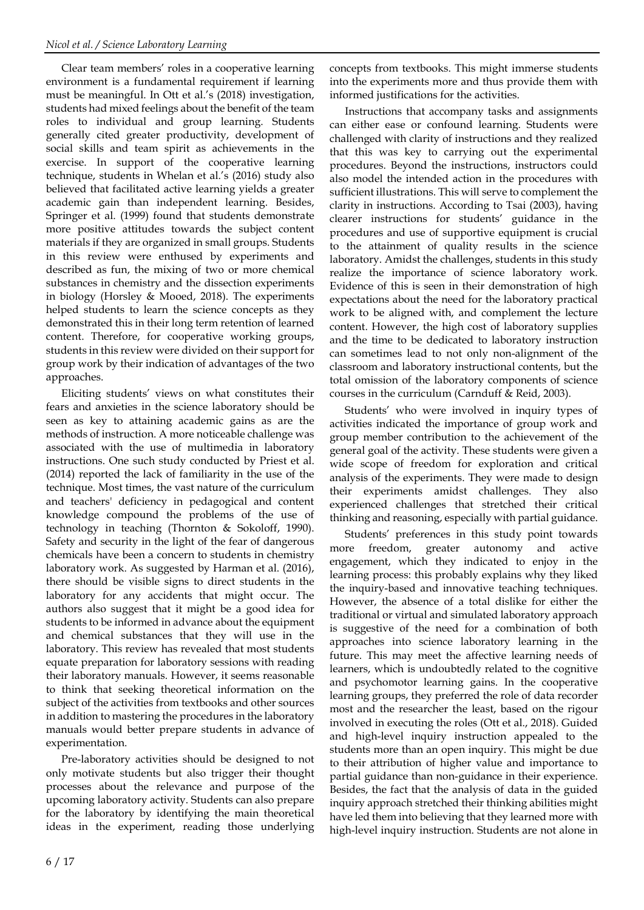Clear team members' roles in a cooperative learning environment is a fundamental requirement if learning must be meaningful. In Ott et al.'s (2018) investigation, students had mixed feelings about the benefit of the team roles to individual and group learning. Students generally cited greater productivity, development of social skills and team spirit as achievements in the exercise. In support of the cooperative learning technique, students in Whelan et al.'s (2016) study also believed that facilitated active learning yields a greater academic gain than independent learning. Besides, Springer et al. (1999) found that students demonstrate more positive attitudes towards the subject content materials if they are organized in small groups. Students in this review were enthused by experiments and described as fun, the mixing of two or more chemical substances in chemistry and the dissection experiments in biology (Horsley & Mooed, 2018). The experiments helped students to learn the science concepts as they demonstrated this in their long term retention of learned content. Therefore, for cooperative working groups, students in this review were divided on their support for group work by their indication of advantages of the two approaches.

Eliciting students' views on what constitutes their fears and anxieties in the science laboratory should be seen as key to attaining academic gains as are the methods of instruction. A more noticeable challenge was associated with the use of multimedia in laboratory instructions. One such study conducted by Priest et al. (2014) reported the lack of familiarity in the use of the technique. Most times, the vast nature of the curriculum and teachers' deficiency in pedagogical and content knowledge compound the problems of the use of technology in teaching (Thornton & Sokoloff, 1990). Safety and security in the light of the fear of dangerous chemicals have been a concern to students in chemistry laboratory work. As suggested by Harman et al. (2016), there should be visible signs to direct students in the laboratory for any accidents that might occur. The authors also suggest that it might be a good idea for students to be informed in advance about the equipment and chemical substances that they will use in the laboratory. This review has revealed that most students equate preparation for laboratory sessions with reading their laboratory manuals. However, it seems reasonable to think that seeking theoretical information on the subject of the activities from textbooks and other sources in addition to mastering the procedures in the laboratory manuals would better prepare students in advance of experimentation.

Pre-laboratory activities should be designed to not only motivate students but also trigger their thought processes about the relevance and purpose of the upcoming laboratory activity. Students can also prepare for the laboratory by identifying the main theoretical ideas in the experiment, reading those underlying

concepts from textbooks. This might immerse students into the experiments more and thus provide them with informed justifications for the activities.

Instructions that accompany tasks and assignments can either ease or confound learning. Students were challenged with clarity of instructions and they realized that this was key to carrying out the experimental procedures. Beyond the instructions, instructors could also model the intended action in the procedures with sufficient illustrations. This will serve to complement the clarity in instructions. According to Tsai (2003), having clearer instructions for students' guidance in the procedures and use of supportive equipment is crucial to the attainment of quality results in the science laboratory. Amidst the challenges, students in this study realize the importance of science laboratory work. Evidence of this is seen in their demonstration of high expectations about the need for the laboratory practical work to be aligned with, and complement the lecture content. However, the high cost of laboratory supplies and the time to be dedicated to laboratory instruction can sometimes lead to not only non-alignment of the classroom and laboratory instructional contents, but the total omission of the laboratory components of science courses in the curriculum (Carnduff & Reid, 2003).

Students' who were involved in inquiry types of activities indicated the importance of group work and group member contribution to the achievement of the general goal of the activity. These students were given a wide scope of freedom for exploration and critical analysis of the experiments. They were made to design their experiments amidst challenges. They also experienced challenges that stretched their critical thinking and reasoning, especially with partial guidance.

Students' preferences in this study point towards more freedom, greater autonomy and active engagement, which they indicated to enjoy in the learning process: this probably explains why they liked the inquiry-based and innovative teaching techniques. However, the absence of a total dislike for either the traditional or virtual and simulated laboratory approach is suggestive of the need for a combination of both approaches into science laboratory learning in the future. This may meet the affective learning needs of learners, which is undoubtedly related to the cognitive and psychomotor learning gains. In the cooperative learning groups, they preferred the role of data recorder most and the researcher the least, based on the rigour involved in executing the roles (Ott et al., 2018). Guided and high-level inquiry instruction appealed to the students more than an open inquiry. This might be due to their attribution of higher value and importance to partial guidance than non-guidance in their experience. Besides, the fact that the analysis of data in the guided inquiry approach stretched their thinking abilities might have led them into believing that they learned more with high-level inquiry instruction. Students are not alone in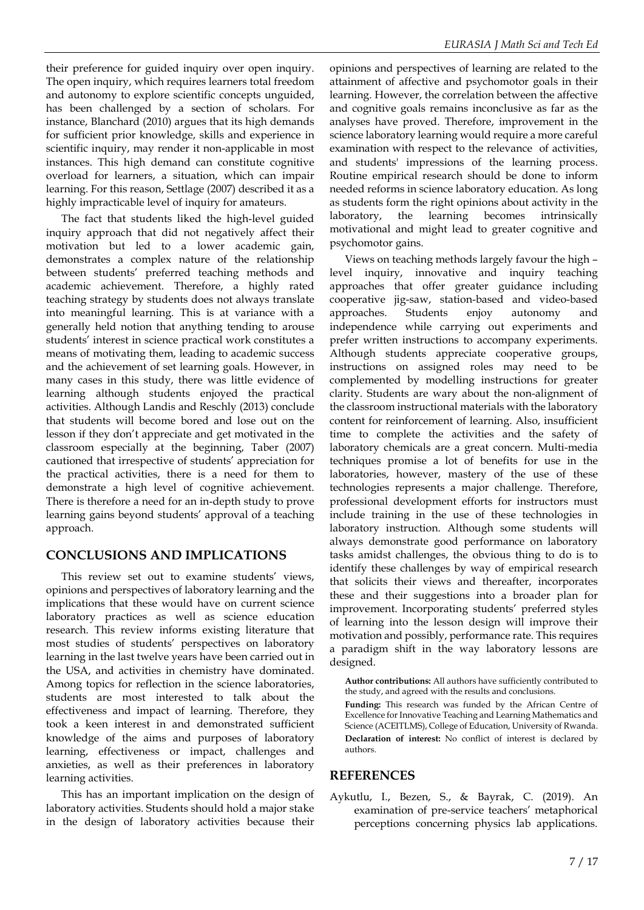their preference for guided inquiry over open inquiry. The open inquiry, which requires learners total freedom and autonomy to explore scientific concepts unguided, has been challenged by a section of scholars. For instance, Blanchard (2010) argues that its high demands for sufficient prior knowledge, skills and experience in scientific inquiry, may render it non-applicable in most instances. This high demand can constitute cognitive overload for learners, a situation, which can impair learning. For this reason, Settlage (2007) described it as a highly impracticable level of inquiry for amateurs.

The fact that students liked the high-level guided inquiry approach that did not negatively affect their motivation but led to a lower academic gain, demonstrates a complex nature of the relationship between students' preferred teaching methods and academic achievement. Therefore, a highly rated teaching strategy by students does not always translate into meaningful learning. This is at variance with a generally held notion that anything tending to arouse students' interest in science practical work constitutes a means of motivating them, leading to academic success and the achievement of set learning goals. However, in many cases in this study, there was little evidence of learning although students enjoyed the practical activities. Although Landis and Reschly (2013) conclude that students will become bored and lose out on the lesson if they don't appreciate and get motivated in the classroom especially at the beginning, Taber (2007) cautioned that irrespective of students' appreciation for the practical activities, there is a need for them to demonstrate a high level of cognitive achievement. There is therefore a need for an in-depth study to prove learning gains beyond students' approval of a teaching approach.

## **CONCLUSIONS AND IMPLICATIONS**

This review set out to examine students' views, opinions and perspectives of laboratory learning and the implications that these would have on current science laboratory practices as well as science education research. This review informs existing literature that most studies of students' perspectives on laboratory learning in the last twelve years have been carried out in the USA, and activities in chemistry have dominated. Among topics for reflection in the science laboratories, students are most interested to talk about the effectiveness and impact of learning. Therefore, they took a keen interest in and demonstrated sufficient knowledge of the aims and purposes of laboratory learning, effectiveness or impact, challenges and anxieties, as well as their preferences in laboratory learning activities.

This has an important implication on the design of laboratory activities. Students should hold a major stake in the design of laboratory activities because their

opinions and perspectives of learning are related to the attainment of affective and psychomotor goals in their learning. However, the correlation between the affective and cognitive goals remains inconclusive as far as the analyses have proved. Therefore, improvement in the science laboratory learning would require a more careful examination with respect to the relevance of activities, and students' impressions of the learning process. Routine empirical research should be done to inform needed reforms in science laboratory education. As long as students form the right opinions about activity in the laboratory, the learning becomes intrinsically motivational and might lead to greater cognitive and psychomotor gains.

Views on teaching methods largely favour the high – level inquiry, innovative and inquiry teaching approaches that offer greater guidance including cooperative jig-saw, station-based and video-based approaches. Students enjoy autonomy and independence while carrying out experiments and prefer written instructions to accompany experiments. Although students appreciate cooperative groups, instructions on assigned roles may need to be complemented by modelling instructions for greater clarity. Students are wary about the non-alignment of the classroom instructional materials with the laboratory content for reinforcement of learning. Also, insufficient time to complete the activities and the safety of laboratory chemicals are a great concern. Multi-media techniques promise a lot of benefits for use in the laboratories, however, mastery of the use of these technologies represents a major challenge. Therefore, professional development efforts for instructors must include training in the use of these technologies in laboratory instruction. Although some students will always demonstrate good performance on laboratory tasks amidst challenges, the obvious thing to do is to identify these challenges by way of empirical research that solicits their views and thereafter, incorporates these and their suggestions into a broader plan for improvement. Incorporating students' preferred styles of learning into the lesson design will improve their motivation and possibly, performance rate. This requires a paradigm shift in the way laboratory lessons are designed.

**Author contributions:** All authors have sufficiently contributed to the study, and agreed with the results and conclusions. **Funding:** This research was funded by the African Centre of Excellence for Innovative Teaching and Learning Mathematics and Science (ACEITLMS), College of Education, University of Rwanda. **Declaration of interest:** No conflict of interest is declared by authors.

## **REFERENCES**

Aykutlu, I., Bezen, S., & Bayrak, C. (2019). An examination of pre-service teachers' metaphorical perceptions concerning physics lab applications.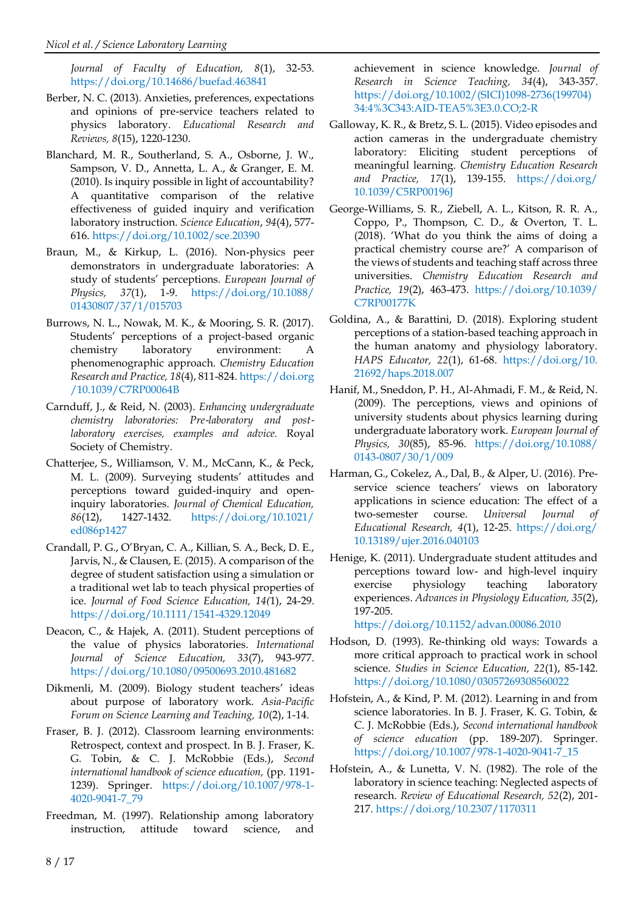*Journal of Faculty of Education, 8*(1), 32-53. <https://doi.org/10.14686/buefad.463841>

- Berber, N. C. (2013). Anxieties, preferences, expectations and opinions of pre-service teachers related to physics laboratory. *Educational Research and Reviews, 8*(15), 1220-1230.
- Blanchard, M. R., Southerland, S. A., Osborne, J. W., Sampson, V. D., Annetta, L. A., & Granger, E. M. (2010). Is inquiry possible in light of accountability? A quantitative comparison of the relative effectiveness of guided inquiry and verification laboratory instruction. *Science Education*, *94*(4), 577- 616.<https://doi.org/10.1002/sce.20390>
- Braun, M., & Kirkup, L. (2016). Non-physics peer demonstrators in undergraduate laboratories: A study of students' perceptions. *European Journal of Physics, 37*(1), 1-9. [https://doi.org/10.1088/](https://doi.org/10.1088/01430807/37/1/015703) [01430807/37/1/015703](https://doi.org/10.1088/01430807/37/1/015703)
- Burrows, N. L., Nowak, M. K., & Mooring, S. R. (2017). Students' perceptions of a project-based organic chemistry laboratory environment: A phenomenographic approach. *Chemistry Education Research and Practice, 18*(4), 811-824[. https://doi.org](https://doi.org/10.1039/C7RP00064B) [/10.1039/C7RP00064B](https://doi.org/10.1039/C7RP00064B)
- Carnduff, J., & Reid, N. (2003). *Enhancing undergraduate chemistry laboratories: Pre*‐*laboratory and post*‐ *laboratory exercises, examples and advice.* Royal Society of Chemistry.
- Chatterjee, S., Williamson, V. M., McCann, K., & Peck, M. L. (2009). Surveying students' attitudes and perceptions toward guided-inquiry and openinquiry laboratories. *Journal of Chemical Education, 86*(12), 1427-1432. [https://doi.org/10.1021/](https://doi.org/10.1021/ed086p1427) [ed086p1427](https://doi.org/10.1021/ed086p1427)
- Crandall, P. G., O'Bryan, C. A., Killian, S. A., Beck, D. E., Jarvis, N., & Clausen, E. (2015). A comparison of the degree of student satisfaction using a simulation or a traditional wet lab to teach physical properties of ice. *Journal of Food Science Education, 14(*1), 24-29. <https://doi.org/10.1111/1541-4329.12049>
- Deacon, C., & Hajek, A. (2011). Student perceptions of the value of physics laboratories. *International Journal of Science Education, 33*(7), 943-977. <https://doi.org/10.1080/09500693.2010.481682>
- Dikmenli, M. (2009). Biology student teachers' ideas about purpose of laboratory work. *Asia-Pacific Forum on Science Learning and Teaching, 10*(2), 1-14.
- Fraser, B. J. (2012). Classroom learning environments: Retrospect, context and prospect. In B. J. Fraser, K. G. Tobin, & C. J. McRobbie (Eds.), *Second international handbook of science education,* (pp. 1191- 1239). Springer. [https://doi.org/10.1007/978-1-](https://doi.org/10.1007/978-1-4020-9041-7_79) [4020-9041-7\\_79](https://doi.org/10.1007/978-1-4020-9041-7_79)
- Freedman, M. (1997). Relationship among laboratory instruction, attitude toward science, and

achievement in science knowledge. *Journal of Research in Science Teaching, 34*(4), 343-357. [https://doi.org/10.1002/\(SICI\)1098-2736\(199704\)](https://doi.org/10.1002/(SICI)1098-2736(199704)34:4%3C343:AID-TEA5%3E3.0.CO;2-R) [34:4%3C343:AID-TEA5%3E3.0.CO;2-R](https://doi.org/10.1002/(SICI)1098-2736(199704)34:4%3C343:AID-TEA5%3E3.0.CO;2-R)

- Galloway, K. R., & Bretz, S. L. (2015). Video episodes and action cameras in the undergraduate chemistry laboratory: Eliciting student perceptions of meaningful learning. *Chemistry Education Research and Practice, 17*(1), 139-155. [https://doi.org/](https://doi.org/%0b10.1039/C5RP00196J) [10.1039/C5RP00196J](https://doi.org/%0b10.1039/C5RP00196J)
- George-Williams, S. R., Ziebell, A. L., Kitson, R. R. A., Coppo, P., Thompson, C. D., & Overton, T. L. (2018). 'What do you think the aims of doing a practical chemistry course are?' A comparison of the views of students and teaching staff across three universities. *Chemistry Education Research and Practice, 19*(2), 463-473. [https://doi.org/10.1039/](https://doi.org/10.1039/C7RP00177K) [C7RP00177K](https://doi.org/10.1039/C7RP00177K)
- Goldina, A., & Barattini, D. (2018). Exploring student perceptions of a station-based teaching approach in the human anatomy and physiology laboratory. *HAPS Educator, 22*(1), 61-68. [https://doi.org/10.](https://doi.org/10.21692/haps.2018.007) [21692/haps.2018.007](https://doi.org/10.21692/haps.2018.007)
- Hanif, M., Sneddon, P. H., Al-Ahmadi, F. M., & Reid, N. (2009). The perceptions, views and opinions of university students about physics learning during undergraduate laboratory work. *European Journal of Physics, 30*(85), 85-96. [https://doi.org/10.1088/](https://doi.org/10.1088/0143-0807/30/1/009) [0143-0807/30/1/009](https://doi.org/10.1088/0143-0807/30/1/009)
- Harman, G., Cokelez, A., Dal, B., & Alper, U. (2016). Preservice science teachers' views on laboratory applications in science education: The effect of a two-semester course. *Universal Journal of Educational Research, 4*(1), 12-25. [https://doi.org/](https://doi.org/10.13189/ujer.2016.040103) [10.13189/ujer.2016.040103](https://doi.org/10.13189/ujer.2016.040103)
- Henige, K. (2011). Undergraduate student attitudes and perceptions toward low- and high-level inquiry exercise physiology teaching laboratory experiences. *Advances in Physiology Education, 35*(2), 197-205.

<https://doi.org/10.1152/advan.00086.2010>

- Hodson, D. (1993). Re-thinking old ways: Towards a more critical approach to practical work in school science. *Studies in Science Education, 22*(1), 85-142. <https://doi.org/10.1080/03057269308560022>
- Hofstein, A., & Kind, P. M. (2012). Learning in and from science laboratories. In B. J. Fraser, K. G. Tobin, & C. J. McRobbie (Eds.), *Second international handbook of science education* (pp. 189-207). Springer. [https://doi.org/10.1007/978-1-4020-9041-7\\_15](https://doi.org/10.1007/978-1-4020-9041-7_15)
- Hofstein, A., & Lunetta, V. N. (1982). The role of the laboratory in science teaching: Neglected aspects of research. *Review of Educational Research, 52*(2), 201- 217[. https://doi.org/10.2307/1170311](https://doi.org/10.2307/1170311)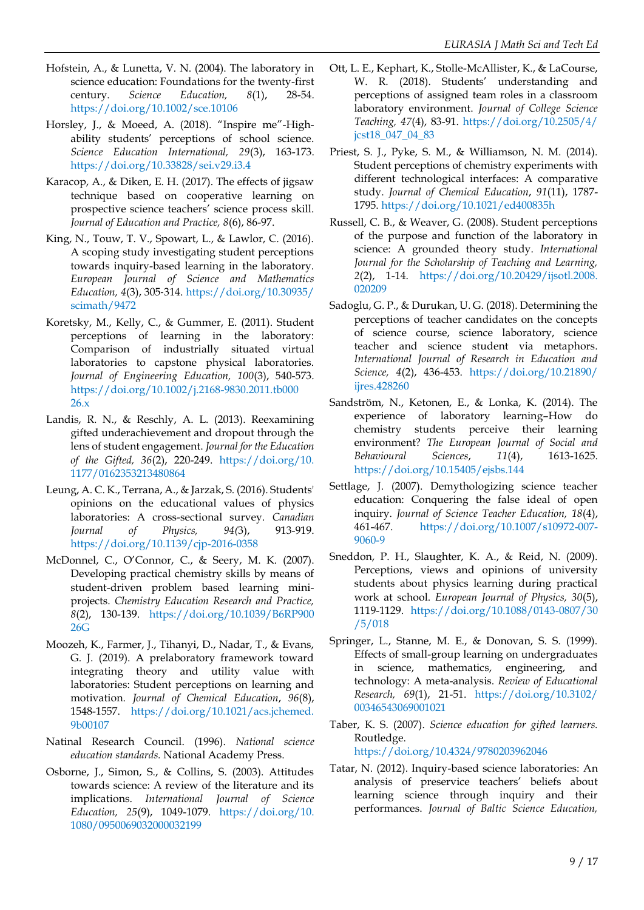- Hofstein, A., & Lunetta, V. N. (2004). The laboratory in science education: Foundations for the twenty-first century. *Science Education, 8*(1), 28-54. <https://doi.org/10.1002/sce.10106>
- Horsley, J., & Moeed, A. (2018). "Inspire me"-Highability students' perceptions of school science. *Science Education International, 29*(3), 163-173. <https://doi.org/10.33828/sei.v29.i3.4>
- Karacop, A., & Diken, E. H. (2017). The effects of jigsaw technique based on cooperative learning on prospective science teachers' science process skill. *Journal of Education and Practice, 8*(6), 86-97.
- King, N., Touw, T. V., Spowart, L., & Lawlor, C. (2016). A scoping study investigating student perceptions towards inquiry-based learning in the laboratory. *European Journal of Science and Mathematics Education, 4*(3), 305‐314. [https://doi.org/10.30935/](https://doi.org/10.30935/scimath/9472) [scimath/9472](https://doi.org/10.30935/scimath/9472)
- Koretsky, M., Kelly, C., & Gummer, E. (2011). Student perceptions of learning in the laboratory: Comparison of industrially situated virtual laboratories to capstone physical laboratories. *Journal of Engineering Education, 100*(3), 540-573. [https://doi.org/10.1002/j.2168-9830.2011.tb000](https://doi.org/10.1002/j.2168-9830.2011.tb00026.x) [26.x](https://doi.org/10.1002/j.2168-9830.2011.tb00026.x)
- Landis, R. N., & Reschly, A. L. (2013). Reexamining gifted underachievement and dropout through the lens of student engagement. *Journal for the Education of the Gifted, 36*(2), 220-249. [https://doi.org/10.](https://doi.org/10.1177/0162353213480864) [1177/0162353213480864](https://doi.org/10.1177/0162353213480864)
- Leung, A. C. K., Terrana, A., & Jarzak, S. (2016). Students' opinions on the educational values of physics laboratories: A cross-sectional survey. *Canadian Journal of Physics, 94(*3), 913-919. <https://doi.org/10.1139/cjp-2016-0358>
- McDonnel, C., O'Connor, C., & Seery, M. K. (2007). Developing practical chemistry skills by means of student-driven problem based learning miniprojects. *Chemistry Education Research and Practice, 8*(2), 130-139. [https://doi.org/10.1039/B6RP900](https://doi.org/10.1039/B6RP90026G) [26G](https://doi.org/10.1039/B6RP90026G)
- Moozeh, K., Farmer, J., Tihanyi, D., Nadar, T., & Evans, G. J. (2019). A prelaboratory framework toward integrating theory and utility value with laboratories: Student perceptions on learning and motivation. *Journal of Chemical Education*, *96*(8), 1548-1557. [https://doi.org/10.1021/acs.jchemed.](https://doi.org/10.1021/acs.jchemed.9b00107) [9b00107](https://doi.org/10.1021/acs.jchemed.9b00107)
- Natinal Research Council. (1996). *National science education standards.* National Academy Press.
- Osborne, J., Simon, S., & Collins, S. (2003). Attitudes towards science: A review of the literature and its implications. *International Journal of Science Education, 25*(9), 1049-1079. [https://doi.org/10.](https://doi.org/10.1080/0950069032000032199) [1080/0950069032000032199](https://doi.org/10.1080/0950069032000032199)
- Ott, L. E., Kephart, K., Stolle-McAllister, K., & LaCourse, W. R. (2018). Students' understanding and perceptions of assigned team roles in a classroom laboratory environment. *Journal of College Science Teaching, 47*(4), 83-91. [https://doi.org/10.2505/4/](https://doi.org/10.2505/4/jcst18_047_04_83) [jcst18\\_047\\_04\\_83](https://doi.org/10.2505/4/jcst18_047_04_83)
- Priest, S. J., Pyke, S. M., & Williamson, N. M. (2014). Student perceptions of chemistry experiments with different technological interfaces: A comparative study. *Journal of Chemical Education*, *91*(11), 1787- 1795. <https://doi.org/10.1021/ed400835h>
- Russell, C. B., & Weaver, G. (2008). Student perceptions of the purpose and function of the laboratory in science: A grounded theory study. *International Journal for the Scholarship of Teaching and Learning, 2*(2), 1-14. [https://doi.org/10.20429/ijsotl.2008.](https://doi.org/10.20429/ijsotl.2008.020209) [020209](https://doi.org/10.20429/ijsotl.2008.020209)
- Sadoglu, G. P., & Durukan, U. G. (2018). Determining the perceptions of teacher candidates on the concepts of science course, science laboratory, science teacher and science student via metaphors. *International Journal of Research in Education and Science, 4*(2), 436-453. [https://doi.org/10.21890/](https://doi.org/10.21890/ijres.428260) [ijres.428260](https://doi.org/10.21890/ijres.428260)
- Sandström, N., Ketonen, E., & Lonka, K. (2014). The experience of laboratory learning–How do chemistry students perceive their learning environment? *The European Journal of Social and Behavioural Sciences*, *11*(4), 1613-1625. <https://doi.org/10.15405/ejsbs.144>
- Settlage, J. (2007). Demythologizing science teacher education: Conquering the false ideal of open inquiry. *Journal of Science Teacher Education, 18*(4), 461-467. [https://doi.org/10.1007/s10972-007-](https://doi.org/10.1007/s10972-007-9060-9) [9060-9](https://doi.org/10.1007/s10972-007-9060-9)
- Sneddon, P. H., Slaughter, K. A., & Reid, N. (2009). Perceptions, views and opinions of university students about physics learning during practical work at school. *European Journal of Physics, 30*(5), 1119-1129. [https://doi.org/10.1088/0143-0807/30](https://doi.org/10.1088/0143-0807/30/5/018) [/5/018](https://doi.org/10.1088/0143-0807/30/5/018)
- Springer, L., Stanne, M. E., & Donovan, S. S. (1999). Effects of small-group learning on undergraduates in science, mathematics, engineering, and technology: A meta-analysis. *Review of Educational Research, 69*(1), 21-51. [https://doi.org/10.3102/](https://doi.org/10.3102/00346543069001021) [00346543069001021](https://doi.org/10.3102/00346543069001021)
- Taber, K. S. (2007). *Science education for gifted learners.* Routledge. <https://doi.org/10.4324/9780203962046>
- Tatar, N. (2012). Inquiry-based science laboratories: An analysis of preservice teachers' beliefs about learning science through inquiry and their performances. *Journal of Baltic Science Education,*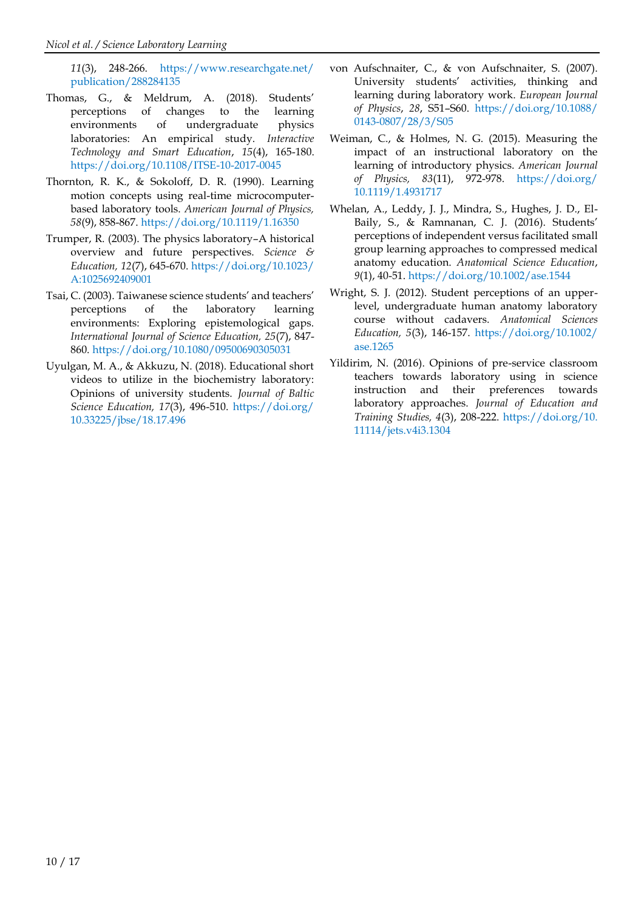*11*(3), 248-266. [https://www.researchgate.net/](https://www.researchgate.net/publication/288284135) [publication/288284135](https://www.researchgate.net/publication/288284135)

- Thomas, G., & Meldrum, A. (2018). Students' perceptions of changes to the learning environments of undergraduate physics laboratories: An empirical study. *Interactive Technology and Smart Education*, *15*(4), 165-180. <https://doi.org/10.1108/ITSE-10-2017-0045>
- Thornton, R. K., & Sokoloff, D. R. (1990). Learning motion concepts using real-time microcomputerbased laboratory tools. *American Journal of Physics, 58*(9), 858-867.<https://doi.org/10.1119/1.16350>
- Trumper, R. (2003). The physics laboratory–A historical overview and future perspectives. *Science & Education, 12*(7), 645-670. [https://doi.org/10.1023/](https://doi.org/10.1023/A:1025692409001) [A:1025692409001](https://doi.org/10.1023/A:1025692409001)
- Tsai, C. (2003). Taiwanese science students' and teachers' perceptions of the laboratory learning environments: Exploring epistemological gaps. *International Journal of Science Education, 25*(7), 847- 860.<https://doi.org/10.1080/09500690305031>
- Uyulgan, M. A., & Akkuzu, N. (2018). Educational short videos to utilize in the biochemistry laboratory: Opinions of university students. *Journal of Baltic Science Education, 17*(3), 496-510. [https://doi.org/](https://doi.org/10.33225/jbse/18.17.496) [10.33225/jbse/18.17.496](https://doi.org/10.33225/jbse/18.17.496)
- von Aufschnaiter, C., & von Aufschnaiter, S. (2007). University students' activities, thinking and learning during laboratory work. *European Journal of Physics*, *28*, S51–S60. [https://doi.org/10.1088/](https://doi.org/10.1088/0143-0807/28/3/S05) [0143-0807/28/3/S05](https://doi.org/10.1088/0143-0807/28/3/S05)
- Weiman, C., & Holmes, N. G. (2015). Measuring the impact of an instructional laboratory on the learning of introductory physics. *American Journal of Physics, 83*(11), 972-978. [https://doi.org/](https://doi.org/10.1119/1.4931717) [10.1119/1.4931717](https://doi.org/10.1119/1.4931717)
- Whelan, A., Leddy, J. J., Mindra, S., Hughes, J. D., El-Baily, S., & Ramnanan, C. J. (2016). Students' perceptions of independent versus facilitated small group learning approaches to compressed medical anatomy education. *Anatomical Science Education*, *9*(1), 40-51[. https://doi.org/10.1002/ase.1544](https://doi.org/10.1002/ase.1544)
- Wright, S. J. (2012). Student perceptions of an upperlevel, undergraduate human anatomy laboratory course without cadavers. *Anatomical Sciences Education, 5*(3), 146-157. [https://doi.org/10.1002/](https://doi.org/10.1002/ase.1265) [ase.1265](https://doi.org/10.1002/ase.1265)
- Yildirim, N. (2016). Opinions of pre-service classroom teachers towards laboratory using in science instruction and their preferences towards laboratory approaches. *Journal of Education and Training Studies, 4*(3), 208-222. [https://doi.org/10.](https://doi.org/10.11114/jets.v4i3.1304) [11114/jets.v4i3.1304](https://doi.org/10.11114/jets.v4i3.1304)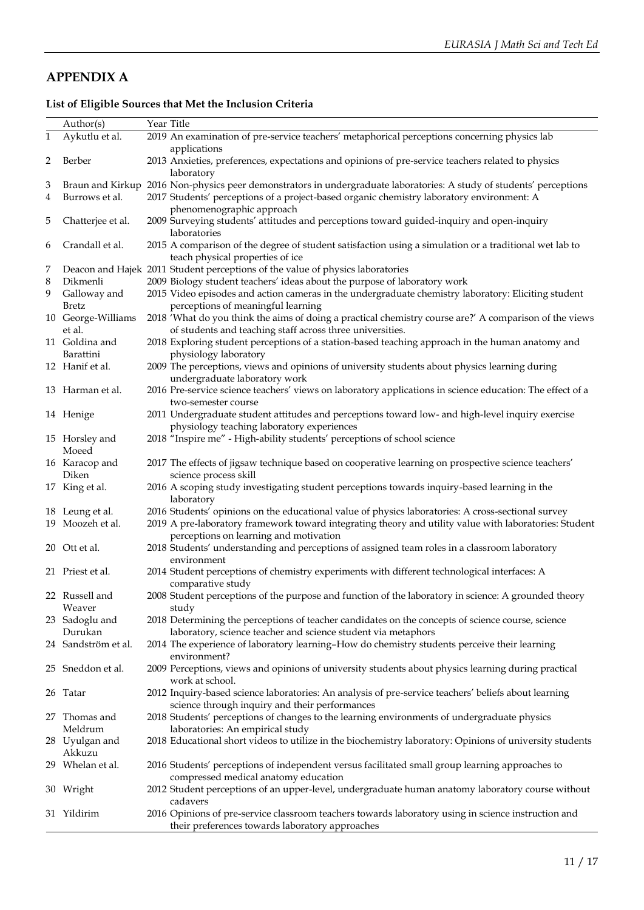# **APPENDIX A**

## **List of Eligible Sources that Met the Inclusion Criteria**

|        | Author(s)                          | Year Title |                                                                                                                                                                                                  |
|--------|------------------------------------|------------|--------------------------------------------------------------------------------------------------------------------------------------------------------------------------------------------------|
| 1      | Aykutlu et al.                     |            | 2019 An examination of pre-service teachers' metaphorical perceptions concerning physics lab                                                                                                     |
| 2      | Berber                             |            | applications<br>2013 Anxieties, preferences, expectations and opinions of pre-service teachers related to physics<br>laboratory                                                                  |
| 3<br>4 | Braun and Kirkup<br>Burrows et al. |            | 2016 Non-physics peer demonstrators in undergraduate laboratories: A study of students' perceptions<br>2017 Students' perceptions of a project-based organic chemistry laboratory environment: A |
| 5      | Chatterjee et al.                  |            | phenomenographic approach<br>2009 Surveying students' attitudes and perceptions toward guided-inquiry and open-inquiry<br>laboratories                                                           |
| 6      | Crandall et al.                    |            | 2015 A comparison of the degree of student satisfaction using a simulation or a traditional wet lab to<br>teach physical properties of ice                                                       |
| 7      |                                    |            | Deacon and Hajek 2011 Student perceptions of the value of physics laboratories                                                                                                                   |
| 8      | Dikmenli                           |            | 2009 Biology student teachers' ideas about the purpose of laboratory work                                                                                                                        |
| 9      | Galloway and<br><b>Bretz</b>       |            | 2015 Video episodes and action cameras in the undergraduate chemistry laboratory: Eliciting student<br>perceptions of meaningful learning                                                        |
|        | 10 George-Williams<br>et al.       |            | 2018 'What do you think the aims of doing a practical chemistry course are?' A comparison of the views                                                                                           |
|        | 11 Goldina and                     |            | of students and teaching staff across three universities.<br>2018 Exploring student perceptions of a station-based teaching approach in the human anatomy and                                    |
|        | Barattini                          |            | physiology laboratory                                                                                                                                                                            |
|        | 12 Hanif et al.                    |            | 2009 The perceptions, views and opinions of university students about physics learning during<br>undergraduate laboratory work                                                                   |
|        | 13 Harman et al.                   |            | 2016 Pre-service science teachers' views on laboratory applications in science education: The effect of a<br>two-semester course                                                                 |
|        | 14 Henige                          |            | 2011 Undergraduate student attitudes and perceptions toward low- and high-level inquiry exercise<br>physiology teaching laboratory experiences                                                   |
|        | 15 Horsley and<br>Moeed            |            | 2018 "Inspire me" - High-ability students' perceptions of school science                                                                                                                         |
|        | 16 Karacop and<br>Diken            |            | 2017 The effects of jigsaw technique based on cooperative learning on prospective science teachers'<br>science process skill                                                                     |
|        | 17 King et al.                     |            | 2016 A scoping study investigating student perceptions towards inquiry-based learning in the<br>laboratory                                                                                       |
|        | 18 Leung et al.                    |            | 2016 Students' opinions on the educational value of physics laboratories: A cross-sectional survey                                                                                               |
|        | 19 Moozeh et al.                   |            | 2019 A pre-laboratory framework toward integrating theory and utility value with laboratories: Student<br>perceptions on learning and motivation                                                 |
|        | 20 Ott et al.                      |            | 2018 Students' understanding and perceptions of assigned team roles in a classroom laboratory<br>environment                                                                                     |
|        | 21 Priest et al.                   |            | 2014 Student perceptions of chemistry experiments with different technological interfaces: A<br>comparative study                                                                                |
|        | 22 Russell and<br>Weaver           |            | 2008 Student perceptions of the purpose and function of the laboratory in science: A grounded theory<br>study                                                                                    |
|        | 23 Sadoglu and                     |            | 2018 Determining the perceptions of teacher candidates on the concepts of science course, science                                                                                                |
|        | Durukan                            |            | laboratory, science teacher and science student via metaphors                                                                                                                                    |
|        | 24 Sandström et al.                |            | 2014 The experience of laboratory learning-How do chemistry students perceive their learning<br>environment?                                                                                     |
|        | 25 Sneddon et al.                  |            | 2009 Perceptions, views and opinions of university students about physics learning during practical<br>work at school.                                                                           |
|        | 26 Tatar                           |            | 2012 Inquiry-based science laboratories: An analysis of pre-service teachers' beliefs about learning<br>science through inquiry and their performances                                           |
| 27     | Thomas and<br>Meldrum              |            | 2018 Students' perceptions of changes to the learning environments of undergraduate physics<br>laboratories: An empirical study                                                                  |
|        | 28 Uyulgan and<br>Akkuzu           |            | 2018 Educational short videos to utilize in the biochemistry laboratory: Opinions of university students                                                                                         |
|        | 29 Whelan et al.                   |            | 2016 Students' perceptions of independent versus facilitated small group learning approaches to<br>compressed medical anatomy education                                                          |
|        | 30 Wright                          |            | 2012 Student perceptions of an upper-level, undergraduate human anatomy laboratory course without<br>cadavers                                                                                    |
|        | 31 Yildirim                        |            | 2016 Opinions of pre-service classroom teachers towards laboratory using in science instruction and<br>their preferences towards laboratory approaches                                           |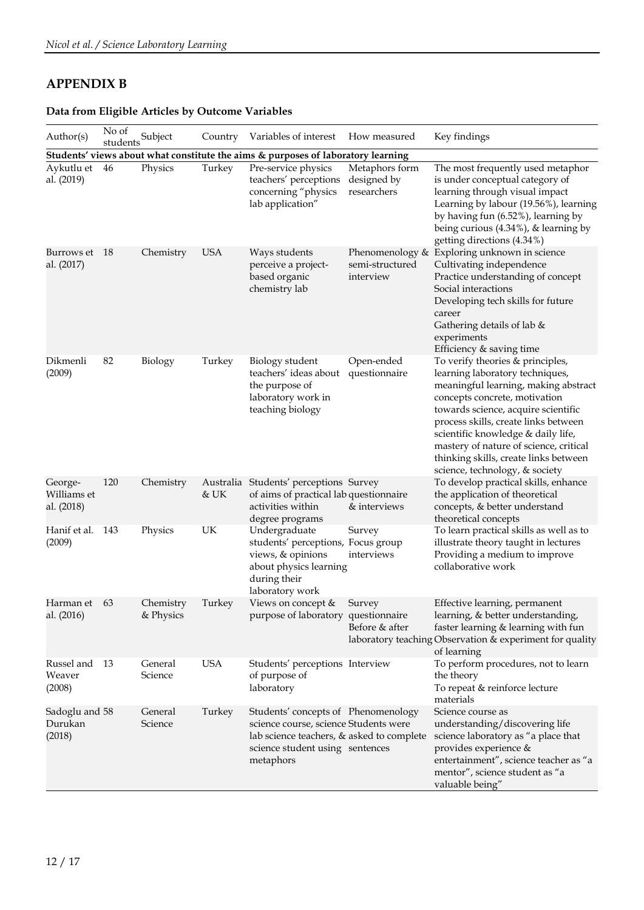# **APPENDIX B**

## **Data from Eligible Articles by Outcome Variables**

| Author(s)                            | No of<br>students | Subject                |                   | Country Variables of interest                                                                                                                                             | How measured                                    | Key findings                                                                                                                                                                                                                                                                                                                                                                           |
|--------------------------------------|-------------------|------------------------|-------------------|---------------------------------------------------------------------------------------------------------------------------------------------------------------------------|-------------------------------------------------|----------------------------------------------------------------------------------------------------------------------------------------------------------------------------------------------------------------------------------------------------------------------------------------------------------------------------------------------------------------------------------------|
|                                      |                   |                        |                   | Students' views about what constitute the aims & purposes of laboratory learning                                                                                          |                                                 |                                                                                                                                                                                                                                                                                                                                                                                        |
| Aykutlu et 46<br>al. (2019)          |                   | Physics                | Turkey            | Pre-service physics<br>teachers' perceptions<br>concerning "physics<br>lab application"                                                                                   | Metaphors form<br>designed by<br>researchers    | The most frequently used metaphor<br>is under conceptual category of<br>learning through visual impact<br>Learning by labour (19.56%), learning<br>by having fun (6.52%), learning by<br>being curious $(4.34\%)$ , & learning by<br>getting directions (4.34%)                                                                                                                        |
| Burrows et<br>al. (2017)             | - 18              | Chemistry              | <b>USA</b>        | Ways students<br>perceive a project-<br>based organic<br>chemistry lab                                                                                                    | Phenomenology &<br>semi-structured<br>interview | Exploring unknown in science<br>Cultivating independence<br>Practice understanding of concept<br>Social interactions<br>Developing tech skills for future<br>career<br>Gathering details of lab &<br>experiments<br>Efficiency & saving time                                                                                                                                           |
| Dikmenli<br>(2009)                   | 82                | Biology                | Turkey            | Biology student<br>teachers' ideas about<br>the purpose of<br>laboratory work in<br>teaching biology                                                                      | Open-ended<br>questionnaire                     | To verify theories & principles,<br>learning laboratory techniques,<br>meaningful learning, making abstract<br>concepts concrete, motivation<br>towards science, acquire scientific<br>process skills, create links between<br>scientific knowledge & daily life,<br>mastery of nature of science, critical<br>thinking skills, create links between<br>science, technology, & society |
| George-<br>Williams et<br>al. (2018) | 120               | Chemistry              | Australia<br>& UK | Students' perceptions Survey<br>of aims of practical lab questionnaire<br>activities within<br>degree programs                                                            | & interviews                                    | To develop practical skills, enhance<br>the application of theoretical<br>concepts, & better understand<br>theoretical concepts                                                                                                                                                                                                                                                        |
| Hanif et al.<br>(2009)               | 143               | Physics                | UK                | Undergraduate<br>students' perceptions, Focus group<br>views, & opinions<br>about physics learning<br>during their<br>laboratory work                                     | Survey<br>interviews                            | To learn practical skills as well as to<br>illustrate theory taught in lectures<br>Providing a medium to improve<br>collaborative work                                                                                                                                                                                                                                                 |
| Harman et 63<br>al. (2016)           |                   | Chemistry<br>& Physics | Turkey            | Views on concept &<br>purpose of laboratory questionnaire                                                                                                                 | Survey<br>Before & after                        | Effective learning, permanent<br>learning, & better understanding,<br>faster learning & learning with fun<br>laboratory teaching Observation & experiment for quality<br>of learning                                                                                                                                                                                                   |
| Russel and<br>Weaver<br>(2008)       | -13               | General<br>Science     | <b>USA</b>        | Students' perceptions Interview<br>of purpose of<br>laboratory                                                                                                            |                                                 | To perform procedures, not to learn<br>the theory<br>To repeat & reinforce lecture<br>materials                                                                                                                                                                                                                                                                                        |
| Sadoglu and 58<br>Durukan<br>(2018)  |                   | General<br>Science     | Turkey            | Students' concepts of Phenomenology<br>science course, science Students were<br>lab science teachers, & asked to complete<br>science student using sentences<br>metaphors |                                                 | Science course as<br>understanding/discovering life<br>science laboratory as "a place that<br>provides experience &<br>entertainment", science teacher as "a<br>mentor", science student as "a<br>valuable being"                                                                                                                                                                      |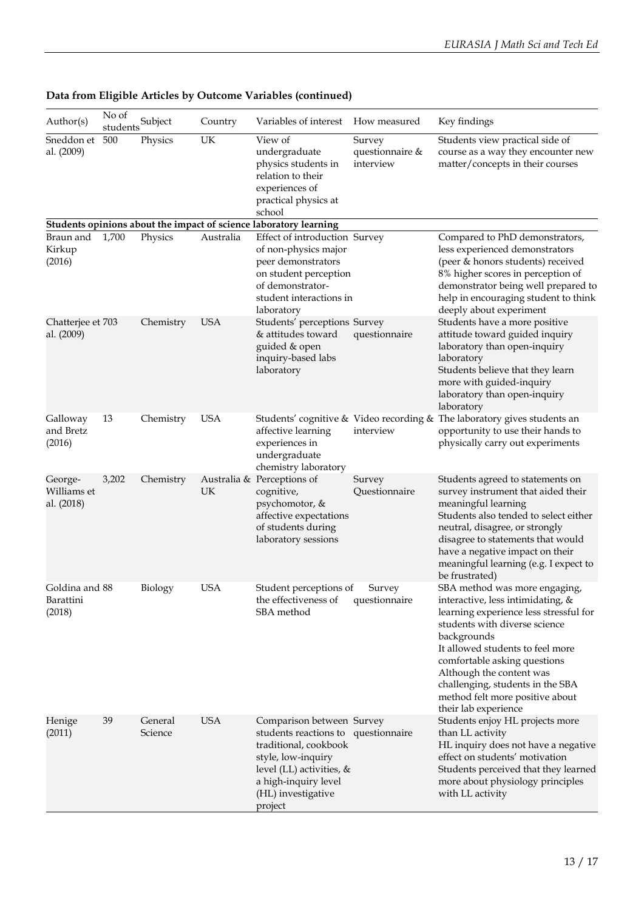| Author(s)                             | No of<br>students | Subject            | Country    | Variables of interest                                                                                                                                                                                | How measured                           | Key findings                                                                                                                                                                                                                                                                                                                                                |
|---------------------------------------|-------------------|--------------------|------------|------------------------------------------------------------------------------------------------------------------------------------------------------------------------------------------------------|----------------------------------------|-------------------------------------------------------------------------------------------------------------------------------------------------------------------------------------------------------------------------------------------------------------------------------------------------------------------------------------------------------------|
| Sneddon et<br>al. (2009)              | 500               | Physics            | UK         | View of<br>undergraduate<br>physics students in<br>relation to their<br>experiences of<br>practical physics at<br>school                                                                             | Survey<br>questionnaire &<br>interview | Students view practical side of<br>course as a way they encounter new<br>matter/concepts in their courses                                                                                                                                                                                                                                                   |
|                                       |                   |                    |            | Students opinions about the impact of science laboratory learning                                                                                                                                    |                                        |                                                                                                                                                                                                                                                                                                                                                             |
| Braun and<br>Kirkup<br>(2016)         | 1,700             | Physics            | Australia  | Effect of introduction Survey<br>of non-physics major<br>peer demonstrators<br>on student perception<br>of demonstrator-<br>student interactions in<br>laboratory                                    |                                        | Compared to PhD demonstrators,<br>less experienced demonstrators<br>(peer & honors students) received<br>8% higher scores in perception of<br>demonstrator being well prepared to<br>help in encouraging student to think<br>deeply about experiment                                                                                                        |
| Chatterjee et 703<br>al. (2009)       |                   | Chemistry          | <b>USA</b> | Students' perceptions Survey<br>& attitudes toward<br>guided & open<br>inquiry-based labs<br>laboratory                                                                                              | questionnaire                          | Students have a more positive<br>attitude toward guided inquiry<br>laboratory than open-inquiry<br>laboratory<br>Students believe that they learn<br>more with guided-inquiry<br>laboratory than open-inquiry<br>laboratory                                                                                                                                 |
| Galloway<br>and Bretz<br>(2016)       | 13                | Chemistry          | <b>USA</b> | affective learning<br>experiences in<br>undergraduate<br>chemistry laboratory                                                                                                                        | interview                              | Students' cognitive & Video recording & The laboratory gives students an<br>opportunity to use their hands to<br>physically carry out experiments                                                                                                                                                                                                           |
| George-<br>Williams et<br>al. (2018)  | 3,202             | Chemistry          | UK         | Australia & Perceptions of<br>cognitive,<br>psychomotor, &<br>affective expectations<br>of students during<br>laboratory sessions                                                                    | Survey<br>Questionnaire                | Students agreed to statements on<br>survey instrument that aided their<br>meaningful learning<br>Students also tended to select either<br>neutral, disagree, or strongly<br>disagree to statements that would<br>have a negative impact on their<br>meaningful learning (e.g. I expect to<br>be frustrated)                                                 |
| Goldina and 88<br>Barattini<br>(2018) |                   | Biology            | <b>USA</b> | Student perceptions of<br>the effectiveness of<br>SBA method                                                                                                                                         | Survey<br>questionnaire                | SBA method was more engaging,<br>interactive, less intimidating, &<br>learning experience less stressful for<br>students with diverse science<br>backgrounds<br>It allowed students to feel more<br>comfortable asking questions<br>Although the content was<br>challenging, students in the SBA<br>method felt more positive about<br>their lab experience |
| Henige<br>(2011)                      | 39                | General<br>Science | <b>USA</b> | Comparison between Survey<br>students reactions to questionnaire<br>traditional, cookbook<br>style, low-inquiry<br>level (LL) activities, &<br>a high-inquiry level<br>(HL) investigative<br>project |                                        | Students enjoy HL projects more<br>than LL activity<br>HL inquiry does not have a negative<br>effect on students' motivation<br>Students perceived that they learned<br>more about physiology principles<br>with LL activity                                                                                                                                |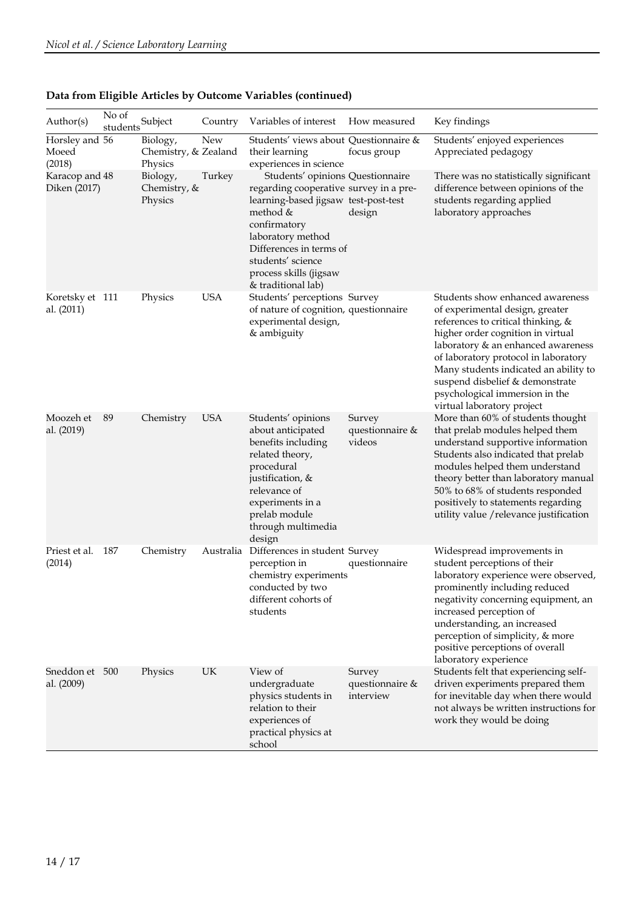| Author(s)                                                           | No of<br>students | Subject                                                                            | Country                         | Variables of interest                                                                                                                                                                                                                                                                                                                                    | How measured                           | Key findings                                                                                                                                                                                                                                                                                                                                                             |
|---------------------------------------------------------------------|-------------------|------------------------------------------------------------------------------------|---------------------------------|----------------------------------------------------------------------------------------------------------------------------------------------------------------------------------------------------------------------------------------------------------------------------------------------------------------------------------------------------------|----------------------------------------|--------------------------------------------------------------------------------------------------------------------------------------------------------------------------------------------------------------------------------------------------------------------------------------------------------------------------------------------------------------------------|
| Horsley and 56<br>Moeed<br>(2018)<br>Karacop and 48<br>Diken (2017) |                   | Biology,<br>Chemistry, & Zealand<br>Physics<br>Biology,<br>Chemistry, &<br>Physics | New<br>Turkey                   | Students' views about Questionnaire &<br>their learning<br>experiences in science<br>Students' opinions Questionnaire<br>regarding cooperative survey in a pre-<br>learning-based jigsaw test-post-test<br>method &<br>confirmatory<br>laboratory method<br>Differences in terms of<br>students' science<br>process skills (jigsaw<br>& traditional lab) | focus group<br>design                  | Students' enjoyed experiences<br>Appreciated pedagogy<br>There was no statistically significant<br>difference between opinions of the<br>students regarding applied<br>laboratory approaches                                                                                                                                                                             |
| Koretsky et 111<br>al. (2011)                                       |                   | Physics                                                                            | <b>USA</b>                      | Students' perceptions Survey<br>of nature of cognition, questionnaire<br>experimental design,<br>& ambiguity                                                                                                                                                                                                                                             |                                        | Students show enhanced awareness<br>of experimental design, greater<br>references to critical thinking, &<br>higher order cognition in virtual<br>laboratory & an enhanced awareness<br>of laboratory protocol in laboratory<br>Many students indicated an ability to<br>suspend disbelief & demonstrate<br>psychological immersion in the<br>virtual laboratory project |
| Moozeh et<br>al. (2019)                                             | 89                | Chemistry                                                                          | <b>USA</b>                      | Students' opinions<br>about anticipated<br>benefits including<br>related theory,<br>procedural<br>justification, &<br>relevance of<br>experiments in a<br>prelab module<br>through multimedia<br>design                                                                                                                                                  | Survey<br>questionnaire &<br>videos    | More than 60% of students thought<br>that prelab modules helped them<br>understand supportive information<br>Students also indicated that prelab<br>modules helped them understand<br>theory better than laboratory manual<br>50% to 68% of students responded<br>positively to statements regarding<br>utility value / relevance justification                          |
| Priest et al.<br>(2014)                                             | 187               | Chemistry                                                                          | Australia                       | Differences in student Survey<br>perception in<br>chemistry experiments<br>conducted by two<br>different cohorts of<br>students                                                                                                                                                                                                                          | questionnaire                          | Widespread improvements in<br>student perceptions of their<br>laboratory experience were observed,<br>prominently including reduced<br>negativity concerning equipment, an<br>increased perception of<br>understanding, an increased<br>perception of simplicity, & more<br>positive perceptions of overall<br>laboratory experience                                     |
| Sneddon et 500<br>al. (2009)                                        |                   | Physics                                                                            | $\ensuremath{\text{UK}}\xspace$ | View of<br>undergraduate<br>physics students in<br>relation to their<br>experiences of<br>practical physics at<br>school                                                                                                                                                                                                                                 | Survey<br>questionnaire &<br>interview | Students felt that experiencing self-<br>driven experiments prepared them<br>for inevitable day when there would<br>not always be written instructions for<br>work they would be doing                                                                                                                                                                                   |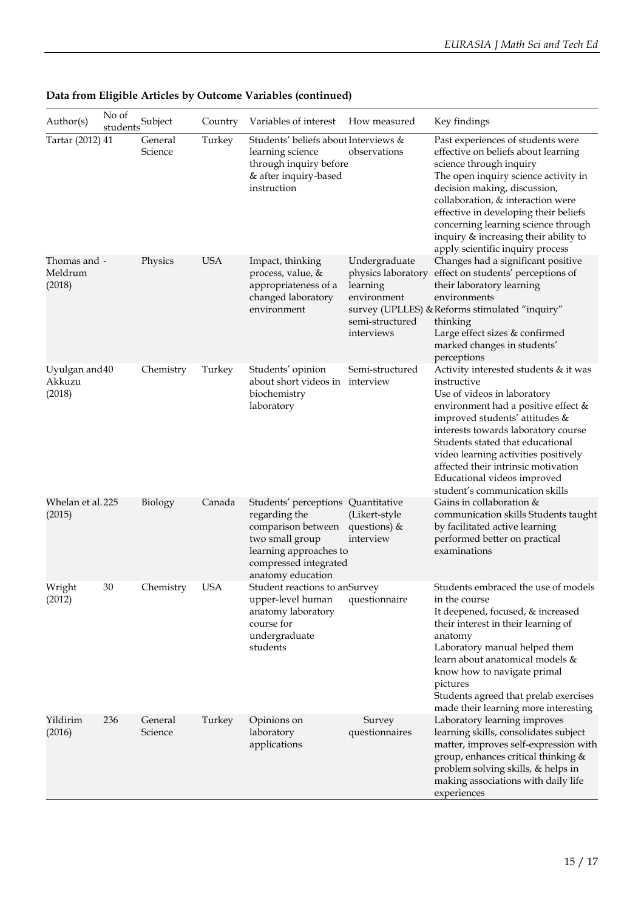| Author(s)                          | No of<br>students | Subject            | Country    | Variables of interest                                                                                                                                                | How measured                                                                                    | Key findings                                                                                                                                                                                                                                                                                                                                                                            |
|------------------------------------|-------------------|--------------------|------------|----------------------------------------------------------------------------------------------------------------------------------------------------------------------|-------------------------------------------------------------------------------------------------|-----------------------------------------------------------------------------------------------------------------------------------------------------------------------------------------------------------------------------------------------------------------------------------------------------------------------------------------------------------------------------------------|
| Tartar (2012) 41                   |                   | General<br>Science | Turkey     | Students' beliefs about Interviews &<br>learning science<br>through inquiry before<br>& after inquiry-based<br>instruction                                           | observations                                                                                    | Past experiences of students were<br>effective on beliefs about learning<br>science through inquiry<br>The open inquiry science activity in<br>decision making, discussion,<br>collaboration, & interaction were<br>effective in developing their beliefs<br>concerning learning science through<br>inquiry & increasing their ability to<br>apply scientific inquiry process           |
| Thomas and -<br>Meldrum<br>(2018)  |                   | Physics            | <b>USA</b> | Impact, thinking<br>process, value, &<br>appropriateness of a<br>changed laboratory<br>environment                                                                   | Undergraduate<br>physics laboratory<br>learning<br>environment<br>semi-structured<br>interviews | Changes had a significant positive<br>effect on students' perceptions of<br>their laboratory learning<br>environments<br>survey (UPLLES) & Reforms stimulated "inquiry"<br>thinking<br>Large effect sizes & confirmed<br>marked changes in students'<br>perceptions                                                                                                                     |
| Uyulgan and 40<br>Akkuzu<br>(2018) |                   | Chemistry          | Turkey     | Students' opinion<br>about short videos in interview<br>biochemistry<br>laboratory                                                                                   | Semi-structured                                                                                 | Activity interested students & it was<br>instructive<br>Use of videos in laboratory<br>environment had a positive effect &<br>improved students' attitudes &<br>interests towards laboratory course<br>Students stated that educational<br>video learning activities positively<br>affected their intrinsic motivation<br>Educational videos improved<br>student's communication skills |
| Whelan et al. 225<br>(2015)        |                   | Biology            | Canada     | Students' perceptions Quantitative<br>regarding the<br>comparison between<br>two small group<br>learning approaches to<br>compressed integrated<br>anatomy education | (Likert-style<br>questions) &<br>interview                                                      | Gains in collaboration &<br>communication skills Students taught<br>by facilitated active learning<br>performed better on practical<br>examinations                                                                                                                                                                                                                                     |
| Wright<br>(2012)                   | 30                | Chemistry          | <b>USA</b> | Student reactions to anSurvey<br>upper-level human<br>anatomy laboratory<br>course for<br>undergraduate<br>students                                                  | questionnaire                                                                                   | Students embraced the use of models<br>in the course<br>It deepened, focused, & increased<br>their interest in their learning of<br>anatomy<br>Laboratory manual helped them<br>learn about anatomical models &<br>know how to navigate primal<br>pictures<br>Students agreed that prelab exercises<br>made their learning more interesting                                             |
| Yildirim<br>(2016)                 | 236               | General<br>Science | Turkey     | Opinions on<br>laboratory<br>applications                                                                                                                            | Survey<br>questionnaires                                                                        | Laboratory learning improves<br>learning skills, consolidates subject<br>matter, improves self-expression with<br>group, enhances critical thinking &<br>problem solving skills, & helps in<br>making associations with daily life<br>experiences                                                                                                                                       |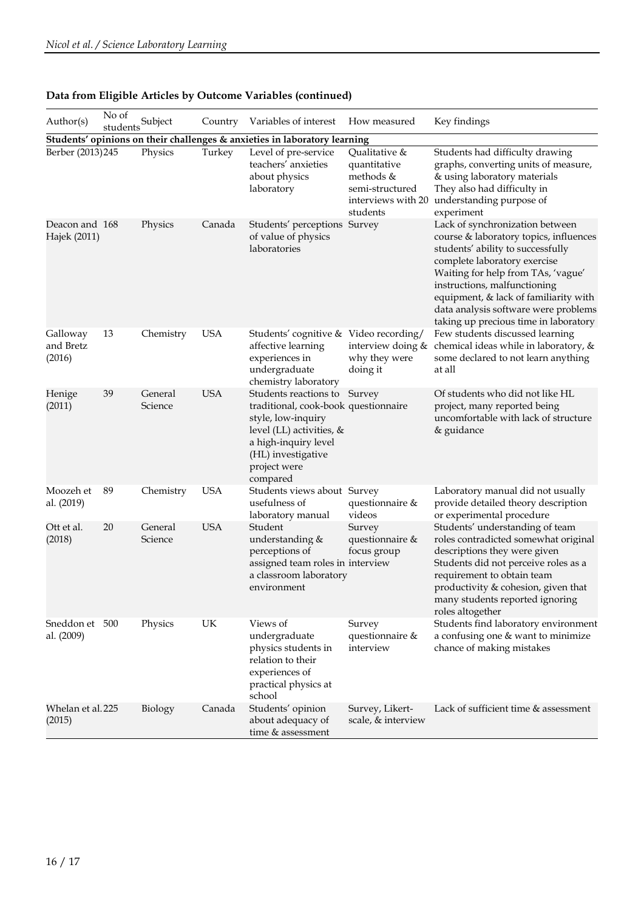| Author(s)                       | No of<br>students | Subject            | Country    | Variables of interest                                                                                                                                                                            | How measured                                                                                    | Key findings                                                                                                                                                                                                                                                                                                                                   |
|---------------------------------|-------------------|--------------------|------------|--------------------------------------------------------------------------------------------------------------------------------------------------------------------------------------------------|-------------------------------------------------------------------------------------------------|------------------------------------------------------------------------------------------------------------------------------------------------------------------------------------------------------------------------------------------------------------------------------------------------------------------------------------------------|
|                                 |                   |                    |            | Students' opinions on their challenges & anxieties in laboratory learning                                                                                                                        |                                                                                                 |                                                                                                                                                                                                                                                                                                                                                |
| Berber (2013) 245               |                   | Physics            | Turkey     | Level of pre-service<br>teachers' anxieties<br>about physics<br>laboratory                                                                                                                       | Qualitative &<br>quantitative<br>methods &<br>semi-structured<br>interviews with 20<br>students | Students had difficulty drawing<br>graphs, converting units of measure,<br>& using laboratory materials<br>They also had difficulty in<br>understanding purpose of<br>experiment                                                                                                                                                               |
| Deacon and 168<br>Hajek (2011)  |                   | Physics            | Canada     | Students' perceptions Survey<br>of value of physics<br>laboratories                                                                                                                              |                                                                                                 | Lack of synchronization between<br>course & laboratory topics, influences<br>students' ability to successfully<br>complete laboratory exercise<br>Waiting for help from TAs, 'vague'<br>instructions, malfunctioning<br>equipment, & lack of familiarity with<br>data analysis software were problems<br>taking up precious time in laboratory |
| Galloway<br>and Bretz<br>(2016) | 13                | Chemistry          | <b>USA</b> | Students' cognitive & Video recording/<br>affective learning<br>experiences in<br>undergraduate<br>chemistry laboratory                                                                          | interview doing &<br>why they were<br>doing it                                                  | Few students discussed learning<br>chemical ideas while in laboratory, &<br>some declared to not learn anything<br>at all                                                                                                                                                                                                                      |
| Henige<br>(2011)                | 39                | General<br>Science | <b>USA</b> | Students reactions to Survey<br>traditional, cook-book questionnaire<br>style, low-inquiry<br>level (LL) activities, &<br>a high-inquiry level<br>(HL) investigative<br>project were<br>compared |                                                                                                 | Of students who did not like HL<br>project, many reported being<br>uncomfortable with lack of structure<br>& guidance                                                                                                                                                                                                                          |
| Moozeh et<br>al. (2019)         | 89                | Chemistry          | <b>USA</b> | Students views about Survey<br>usefulness of<br>laboratory manual                                                                                                                                | questionnaire &<br>videos                                                                       | Laboratory manual did not usually<br>provide detailed theory description<br>or experimental procedure                                                                                                                                                                                                                                          |
| Ott et al.<br>(2018)            | 20                | General<br>Science | <b>USA</b> | Student<br>understanding &<br>perceptions of<br>assigned team roles in interview<br>a classroom laboratory<br>environment                                                                        | Survey<br>questionnaire &<br>focus group                                                        | Students' understanding of team<br>roles contradicted somewhat original<br>descriptions they were given<br>Students did not perceive roles as a<br>requirement to obtain team<br>productivity & cohesion, given that<br>many students reported ignoring<br>roles altogether                                                                    |
| Sneddon et 500<br>al. (2009)    |                   | Physics            | UK         | Views of<br>undergraduate<br>physics students in<br>relation to their<br>experiences of<br>practical physics at<br>school                                                                        | Survey<br>questionnaire &<br>interview                                                          | Students find laboratory environment<br>a confusing one & want to minimize<br>chance of making mistakes                                                                                                                                                                                                                                        |
| Whelan et al. 225<br>(2015)     |                   | Biology            | Canada     | Students' opinion<br>about adequacy of<br>time & assessment                                                                                                                                      | Survey, Likert-<br>scale, & interview                                                           | Lack of sufficient time & assessment                                                                                                                                                                                                                                                                                                           |